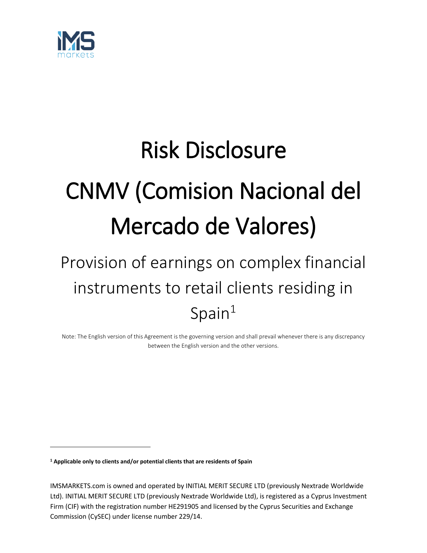

# Risk Disclosure CNMV (Comision Nacional del Mercado de Valores)

## Provision of earnings on complex financial instruments to retail clients residing in Tgs on compositions of the Spain<sup>1</sup>

Note: The English version of this Agreement is the governing version and shall prevail whenever there is any discrepancy between the English version and the other versions.

**<sup>1</sup> Applicable only to clients and/or potential clients that are residents of Spain**

 $\overline{a}$ 

IMSMARKETS.com is owned and operated by INITIAL MERIT SECURE LTD (previously Nextrade Worldwide Ltd). INITIAL MERIT SECURE LTD (previously Nextrade Worldwide Ltd), is registered as a Cyprus Investment Firm (CIF) with the registration number HE291905 and licensed by the Cyprus Securities and Exchange Commission (CySEC) under license number 229/14.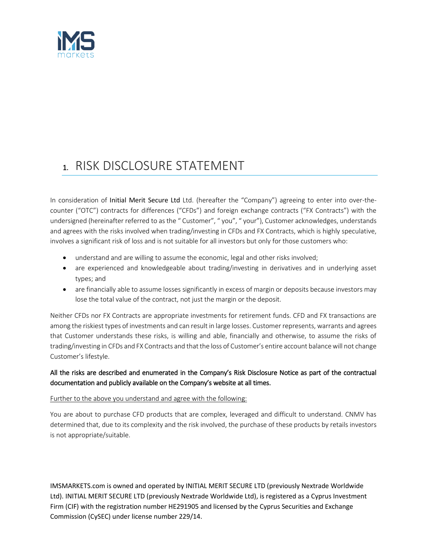

## 1. RISK DISCLOSURE STATEMENT

In consideration of Initial Merit Secure Ltd Ltd. (hereafter the "Company") agreeing to enter into over-thecounter ("OTC") contracts for differences ("CFDs") and foreign exchange contracts ("FX Contracts") with the undersigned (hereinafter referred to as the " Customer", " you", " your"), Customer acknowledges, understands and agrees with the risks involved when trading/investing in CFDs and FX Contracts, which is highly speculative, involves a significant risk of loss and is not suitable for all investors but only for those customers who:

- understand and are willing to assume the economic, legal and other risks involved;
- are experienced and knowledgeable about trading/investing in derivatives and in underlying asset types; and
- are financially able to assume losses significantly in excess of margin or deposits because investors may lose the total value of the contract, not just the margin or the deposit.

Neither CFDs nor FX Contracts are appropriate investments for retirement funds. CFD and FX transactions are among the riskiest types of investments and can result in large losses. Customer represents, warrants and agrees that Customer understands these risks, is willing and able, financially and otherwise, to assume the risks of trading/investing in CFDs and FX Contracts and that the loss of Customer's entire account balance will not change Customer's lifestyle.

### All the risks are described and enumerated in the Company's Risk Disclosure Notice as part of the contractual documentation and publicly available on the Company's website at all times.

#### Further to the above you understand and agree with the following:

You are about to purchase CFD products that are complex, leveraged and difficult to understand. CNMV has determined that, due to its complexity and the risk involved, the purchase of these products by retails investors is not appropriate/suitable.

IMSMARKETS.com is owned and operated by INITIAL MERIT SECURE LTD (previously Nextrade Worldwide Ltd). INITIAL MERIT SECURE LTD (previously Nextrade Worldwide Ltd), is registered as a Cyprus Investment Firm (CIF) with the registration number HE291905 and licensed by the Cyprus Securities and Exchange Commission (CySEC) under license number 229/14.